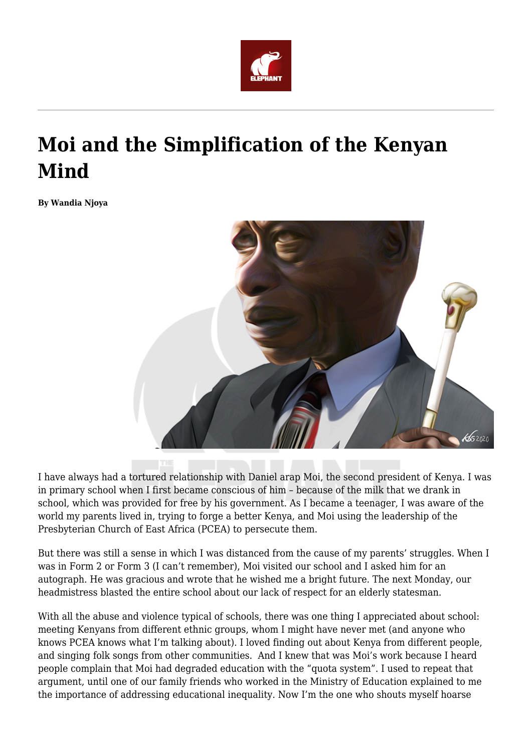

# **Moi and the Simplification of the Kenyan Mind**

**By Wandia Njoya**



I have always had a tortured relationship with Daniel arap Moi, the second president of Kenya. I was in primary school when I first became conscious of him – because of the milk that we drank in school, which was provided for free by his government. As I became a teenager, I was aware of the world my parents lived in, trying to forge a better Kenya, and Moi using the leadership of the Presbyterian Church of East Africa (PCEA) to persecute them.

But there was still a sense in which I was distanced from the cause of my parents' struggles. When I was in Form 2 or Form 3 (I can't remember), Moi visited our school and I asked him for an autograph. He was gracious and wrote that he wished me a bright future. The next Monday, our headmistress blasted the entire school about our lack of respect for an elderly statesman.

With all the abuse and violence typical of schools, there was one thing I appreciated about school: meeting Kenyans from different ethnic groups, whom I might have never met (and anyone who knows PCEA knows what I'm talking about). I loved finding out about Kenya from different people, and singing folk songs from other communities. And I knew that was Moi's work because I heard people complain that Moi had degraded education with the "quota system". I used to repeat that argument, until one of our family friends who worked in the Ministry of Education explained to me the importance of addressing educational inequality. Now I'm the one who shouts myself hoarse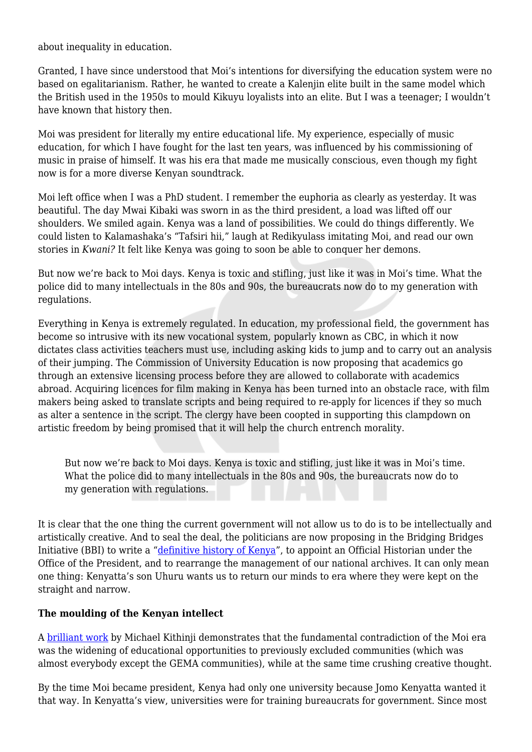about inequality in education.

Granted, I have since understood that Moi's intentions for diversifying the education system were no based on egalitarianism. Rather, he wanted to create a Kalenjin elite built in the same model which the British used in the 1950s to mould Kikuyu loyalists into an elite. But I was a teenager; I wouldn't have known that history then.

Moi was president for literally my entire educational life. My experience, especially of music education, for which I have fought for the last ten years, was influenced by his commissioning of music in praise of himself. It was his era that made me musically conscious, even though my fight now is for a more diverse Kenyan soundtrack.

Moi left office when I was a PhD student. I remember the euphoria as clearly as yesterday. It was beautiful. The day Mwai Kibaki was sworn in as the third president, a load was lifted off our shoulders. We smiled again. Kenya was a land of possibilities. We could do things differently. We could listen to Kalamashaka's "Tafsiri hii," laugh at Redikyulass imitating Moi, and read our own stories in *Kwani?* It felt like Kenya was going to soon be able to conquer her demons.

But now we're back to Moi days. Kenya is toxic and stifling, just like it was in Moi's time. What the police did to many intellectuals in the 80s and 90s, the bureaucrats now do to my generation with regulations.

Everything in Kenya is extremely regulated. In education, my professional field, the government has become so intrusive with its new vocational system, popularly known as CBC, in which it now dictates class activities teachers must use, including asking kids to jump and to carry out an analysis of their jumping. The Commission of University Education is now proposing that academics go through an extensive licensing process before they are allowed to collaborate with academics abroad. Acquiring licences for film making in Kenya has been turned into an obstacle race, with film makers being asked to translate scripts and being required to re-apply for licences if they so much as alter a sentence in the script. The clergy have been coopted in supporting this clampdown on artistic freedom by being promised that it will help the church entrench morality.

But now we're back to Moi days. Kenya is toxic and stifling, just like it was in Moi's time. What the police did to many intellectuals in the 80s and 90s, the bureaucrats now do to my generation with regulations.

It is clear that the one thing the current government will not allow us to do is to be intellectually and artistically creative. And to seal the deal, the politicians are now proposing in the Bridging Bridges Initiative (BBI) to write a "[definitive history of Kenya"](https://www.aljazeera.com/indepth/opinion/kenya-bbi-political-elite-attempt-rewrite-history-191128150130076.html), to appoint an Official Historian under the Office of the President, and to rearrange the management of our national archives. It can only mean one thing: Kenyatta's son Uhuru wants us to return our minds to era where they were kept on the straight and narrow.

#### **The moulding of the Kenyan intellect**

A [brilliant work](https://www.ruganobooks.com/store/the-state-and-the-university-experience-in-east-africa-colonial-foundations-and-postcolonial-transformations-in-kenya/) by Michael Kithinji demonstrates that the fundamental contradiction of the Moi era was the widening of educational opportunities to previously excluded communities (which was almost everybody except the GEMA communities), while at the same time crushing creative thought.

By the time Moi became president, Kenya had only one university because Jomo Kenyatta wanted it that way. In Kenyatta's view, universities were for training bureaucrats for government. Since most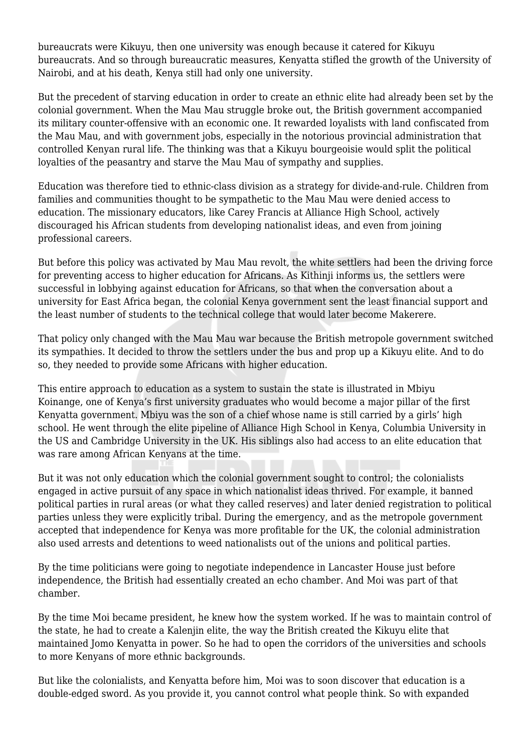bureaucrats were Kikuyu, then one university was enough because it catered for Kikuyu bureaucrats. And so through bureaucratic measures, Kenyatta stifled the growth of the University of Nairobi, and at his death, Kenya still had only one university.

But the precedent of starving education in order to create an ethnic elite had already been set by the colonial government. When the Mau Mau struggle broke out, the British government accompanied its military counter-offensive with an economic one. It rewarded loyalists with land confiscated from the Mau Mau, and with government jobs, especially in the notorious provincial administration that controlled Kenyan rural life. The thinking was that a Kikuyu bourgeoisie would split the political loyalties of the peasantry and starve the Mau Mau of sympathy and supplies.

Education was therefore tied to ethnic-class division as a strategy for divide-and-rule. Children from families and communities thought to be sympathetic to the Mau Mau were denied access to education. The missionary educators, like Carey Francis at Alliance High School, actively discouraged his African students from developing nationalist ideas, and even from joining professional careers.

But before this policy was activated by Mau Mau revolt, the white settlers had been the driving force for preventing access to higher education for Africans. As Kithinji informs us, the settlers were successful in lobbying against education for Africans, so that when the conversation about a university for East Africa began, the colonial Kenya government sent the least financial support and the least number of students to the technical college that would later become Makerere.

That policy only changed with the Mau Mau war because the British metropole government switched its sympathies. It decided to throw the settlers under the bus and prop up a Kikuyu elite. And to do so, they needed to provide some Africans with higher education.

This entire approach to education as a system to sustain the state is illustrated in Mbiyu Koinange, one of Kenya's first university graduates who would become a major pillar of the first Kenyatta government. Mbiyu was the son of a chief whose name is still carried by a girls' high school. He went through the elite pipeline of Alliance High School in Kenya, Columbia University in the US and Cambridge University in the UK. His siblings also had access to an elite education that was rare among African Kenyans at the time.

But it was not only education which the colonial government sought to control; the colonialists engaged in active pursuit of any space in which nationalist ideas thrived. For example, it banned political parties in rural areas (or what they called reserves) and later denied registration to political parties unless they were explicitly tribal. During the emergency, and as the metropole government accepted that independence for Kenya was more profitable for the UK, the colonial administration also used arrests and detentions to weed nationalists out of the unions and political parties.

By the time politicians were going to negotiate independence in Lancaster House just before independence, the British had essentially created an echo chamber. And Moi was part of that chamber.

By the time Moi became president, he knew how the system worked. If he was to maintain control of the state, he had to create a Kalenjin elite, the way the British created the Kikuyu elite that maintained Jomo Kenyatta in power. So he had to open the corridors of the universities and schools to more Kenyans of more ethnic backgrounds.

But like the colonialists, and Kenyatta before him, Moi was to soon discover that education is a double-edged sword. As you provide it, you cannot control what people think. So with expanded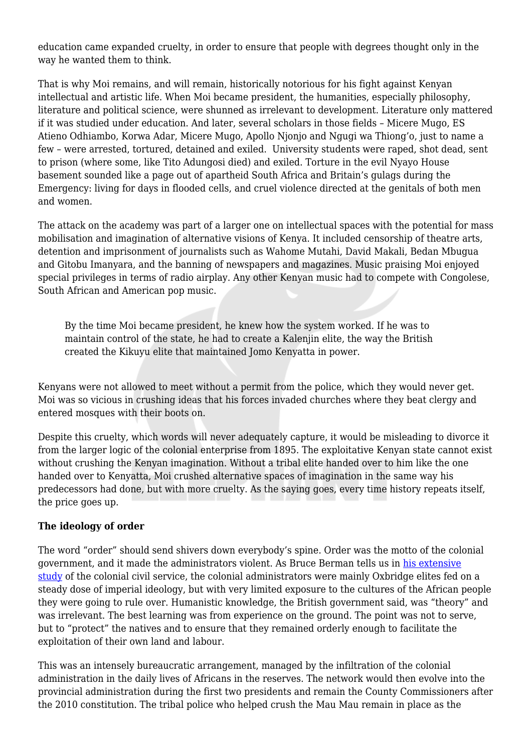education came expanded cruelty, in order to ensure that people with degrees thought only in the way he wanted them to think.

That is why Moi remains, and will remain, historically notorious for his fight against Kenyan intellectual and artistic life. When Moi became president, the humanities, especially philosophy, literature and political science, were shunned as irrelevant to development. Literature only mattered if it was studied under education. And later, several scholars in those fields – Micere Mugo, ES Atieno Odhiambo, Korwa Adar, Micere Mugo, Apollo Njonjo and Ngugi wa Thiong'o, just to name a few – were arrested, tortured, detained and exiled. University students were raped, shot dead, sent to prison (where some, like Tito Adungosi died) and exiled. Torture in the evil Nyayo House basement sounded like a page out of apartheid South Africa and Britain's gulags during the Emergency: living for days in flooded cells, and cruel violence directed at the genitals of both men and women.

The attack on the academy was part of a larger one on intellectual spaces with the potential for mass mobilisation and imagination of alternative visions of Kenya. It included censorship of theatre arts, detention and imprisonment of journalists such as Wahome Mutahi, David Makali, Bedan Mbugua and Gitobu Imanyara, and the banning of newspapers and magazines. Music praising Moi enjoyed special privileges in terms of radio airplay. Any other Kenyan music had to compete with Congolese, South African and American pop music.

By the time Moi became president, he knew how the system worked. If he was to maintain control of the state, he had to create a Kalenjin elite, the way the British created the Kikuyu elite that maintained Jomo Kenyatta in power.

Kenyans were not allowed to meet without a permit from the police, which they would never get. Moi was so vicious in crushing ideas that his forces invaded churches where they beat clergy and entered mosques with their boots on.

Despite this cruelty, which words will never adequately capture, it would be misleading to divorce it from the larger logic of the colonial enterprise from 1895. The exploitative Kenyan state cannot exist without crushing the Kenyan imagination. Without a tribal elite handed over to him like the one handed over to Kenyatta, Moi crushed alternative spaces of imagination in the same way his predecessors had done, but with more cruelty. As the saying goes, every time history repeats itself, the price goes up.

#### **The ideology of order**

The word "order" should send shivers down everybody's spine. Order was the motto of the colonial government, and it made the administrators violent. As Bruce Berman tells us in [his extensive](https://books.google.co.ke/books/about/Control_Crisis_in_Colonial_Kenya.html?id=t_Y9MAufWAAC&redir_esc=y) [study](https://books.google.co.ke/books/about/Control_Crisis_in_Colonial_Kenya.html?id=t_Y9MAufWAAC&redir_esc=y) of the colonial civil service, the colonial administrators were mainly Oxbridge elites fed on a steady dose of imperial ideology, but with very limited exposure to the cultures of the African people they were going to rule over. Humanistic knowledge, the British government said, was "theory" and was irrelevant. The best learning was from experience on the ground. The point was not to serve, but to "protect" the natives and to ensure that they remained orderly enough to facilitate the exploitation of their own land and labour.

This was an intensely bureaucratic arrangement, managed by the infiltration of the colonial administration in the daily lives of Africans in the reserves. The network would then evolve into the provincial administration during the first two presidents and remain the County Commissioners after the 2010 constitution. The tribal police who helped crush the Mau Mau remain in place as the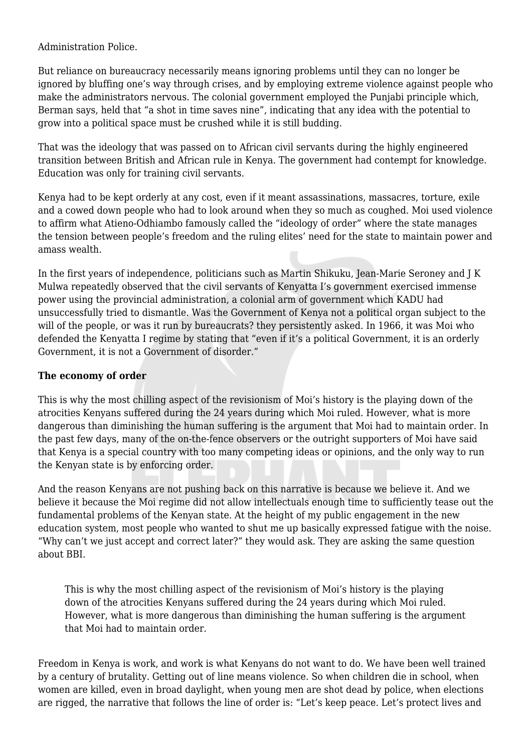Administration Police.

But reliance on bureaucracy necessarily means ignoring problems until they can no longer be ignored by bluffing one's way through crises, and by employing extreme violence against people who make the administrators nervous. The colonial government employed the Punjabi principle which, Berman says, held that "a shot in time saves nine", indicating that any idea with the potential to grow into a political space must be crushed while it is still budding.

That was the ideology that was passed on to African civil servants during the highly engineered transition between British and African rule in Kenya. The government had contempt for knowledge. Education was only for training civil servants.

Kenya had to be kept orderly at any cost, even if it meant assassinations, massacres, torture, exile and a cowed down people who had to look around when they so much as coughed. Moi used violence to affirm what Atieno-Odhiambo famously called the "ideology of order" where the state manages the tension between people's freedom and the ruling elites' need for the state to maintain power and amass wealth.

In the first years of independence, politicians such as Martin Shikuku, Jean-Marie Seroney and J K Mulwa repeatedly observed that the civil servants of Kenyatta I's government exercised immense power using the provincial administration, a colonial arm of government which KADU had unsuccessfully tried to dismantle. Was the Government of Kenya not a political organ subject to the will of the people, or was it run by bureaucrats? they persistently asked. In 1966, it was Moi who defended the Kenyatta I regime by stating that "even if it's a political Government, it is an orderly Government, it is not a Government of disorder."

## **The economy of order**

This is why the most chilling aspect of the revisionism of Moi's history is the playing down of the atrocities Kenyans suffered during the 24 years during which Moi ruled. However, what is more dangerous than diminishing the human suffering is the argument that Moi had to maintain order. In the past few days, many of the on-the-fence observers or the outright supporters of Moi have said that Kenya is a special country with too many competing ideas or opinions, and the only way to run the Kenyan state is by enforcing order.

And the reason Kenyans are not pushing back on this narrative is because we believe it. And we believe it because the Moi regime did not allow intellectuals enough time to sufficiently tease out the fundamental problems of the Kenyan state. At the height of my public engagement in the new education system, most people who wanted to shut me up basically expressed fatigue with the noise. "Why can't we just accept and correct later?" they would ask. They are asking the same question about BBI.

This is why the most chilling aspect of the revisionism of Moi's history is the playing down of the atrocities Kenyans suffered during the 24 years during which Moi ruled. However, what is more dangerous than diminishing the human suffering is the argument that Moi had to maintain order.

Freedom in Kenya is work, and work is what Kenyans do not want to do. We have been well trained by a century of brutality. Getting out of line means violence. So when children die in school, when women are killed, even in broad daylight, when young men are shot dead by police, when elections are rigged, the narrative that follows the line of order is: "Let's keep peace. Let's protect lives and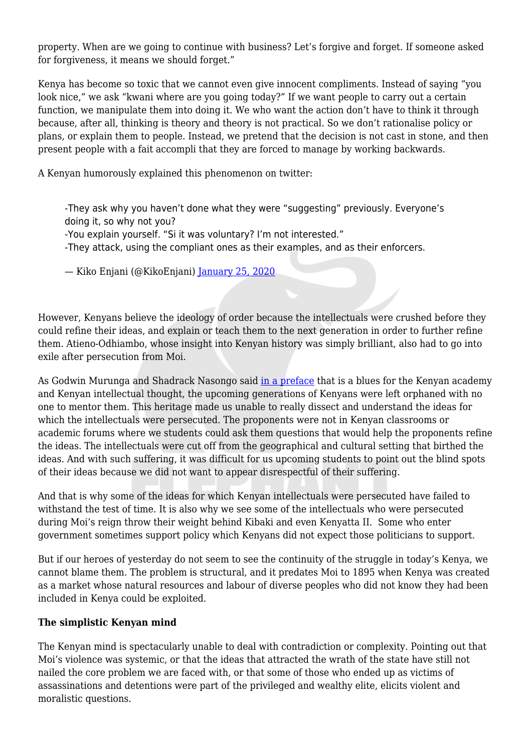property. When are we going to continue with business? Let's forgive and forget. If someone asked for forgiveness, it means we should forget."

Kenya has become so toxic that we cannot even give innocent compliments. Instead of saying "you look nice," we ask "kwani where are you going today?" If we want people to carry out a certain function, we manipulate them into doing it. We who want the action don't have to think it through because, after all, thinking is theory and theory is not practical. So we don't rationalise policy or plans, or explain them to people. Instead, we pretend that the decision is not cast in stone, and then present people with a fait accompli that they are forced to manage by working backwards.

A Kenyan humorously explained this phenomenon on twitter:

-They ask why you haven't done what they were "suggesting" previously. Everyone's doing it, so why not you?

-You explain yourself. "Si it was voluntary? I'm not interested."

-They attack, using the compliant ones as their examples, and as their enforcers.

— Kiko Enjani (@KikoEnjani) [January 25, 2020](https://twitter.com/KikoEnjani/status/1221086167518580739?ref_src=twsrc%5Etfw)

However, Kenyans believe the ideology of order because the intellectuals were crushed before they could refine their ideas, and explain or teach them to the next generation in order to further refine them. Atieno-Odhiambo, whose insight into Kenyan history was simply brilliant, also had to go into exile after persecution from Moi.

As Godwin Murunga and Shadrack Nasongo said [in a preface](https://www.press.uchicago.edu/ucp/books/book/distributed/K/bo20850340.html) that is a blues for the Kenyan academy and Kenyan intellectual thought, the upcoming generations of Kenyans were left orphaned with no one to mentor them. This heritage made us unable to really dissect and understand the ideas for which the intellectuals were persecuted. The proponents were not in Kenyan classrooms or academic forums where we students could ask them questions that would help the proponents refine the ideas. The intellectuals were cut off from the geographical and cultural setting that birthed the ideas. And with such suffering, it was difficult for us upcoming students to point out the blind spots of their ideas because we did not want to appear disrespectful of their suffering.

And that is why some of the ideas for which Kenyan intellectuals were persecuted have failed to withstand the test of time. It is also why we see some of the intellectuals who were persecuted during Moi's reign throw their weight behind Kibaki and even Kenyatta II. Some who enter government sometimes support policy which Kenyans did not expect those politicians to support.

But if our heroes of yesterday do not seem to see the continuity of the struggle in today's Kenya, we cannot blame them. The problem is structural, and it predates Moi to 1895 when Kenya was created as a market whose natural resources and labour of diverse peoples who did not know they had been included in Kenya could be exploited.

## **The simplistic Kenyan mind**

The Kenyan mind is spectacularly unable to deal with contradiction or complexity. Pointing out that Moi's violence was systemic, or that the ideas that attracted the wrath of the state have still not nailed the core problem we are faced with, or that some of those who ended up as victims of assassinations and detentions were part of the privileged and wealthy elite, elicits violent and moralistic questions.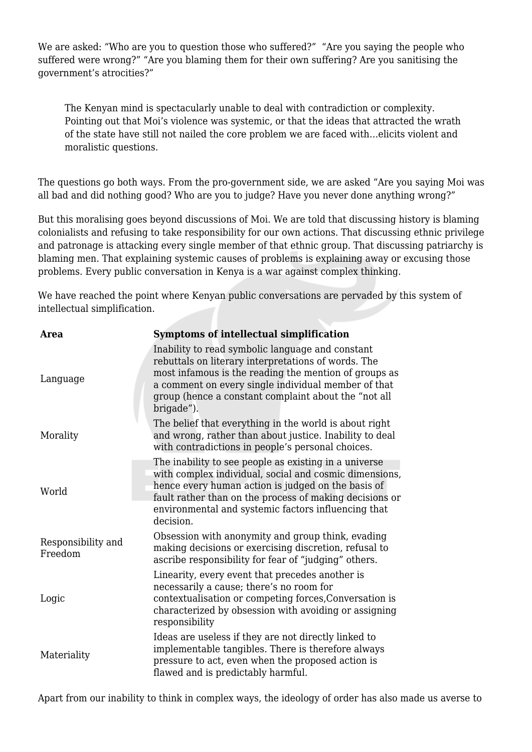We are asked: "Who are you to question those who suffered?" "Are you saying the people who suffered were wrong?" "Are you blaming them for their own suffering? Are you sanitising the government's atrocities?"

The Kenyan mind is spectacularly unable to deal with contradiction or complexity. Pointing out that Moi's violence was systemic, or that the ideas that attracted the wrath of the state have still not nailed the core problem we are faced with…elicits violent and moralistic questions.

The questions go both ways. From the pro-government side, we are asked "Are you saying Moi was all bad and did nothing good? Who are you to judge? Have you never done anything wrong?"

But this moralising goes beyond discussions of Moi. We are told that discussing history is blaming colonialists and refusing to take responsibility for our own actions. That discussing ethnic privilege and patronage is attacking every single member of that ethnic group. That discussing patriarchy is blaming men. That explaining systemic causes of problems is explaining away or excusing those problems. Every public conversation in Kenya is a war against complex thinking.

We have reached the point where Kenyan public conversations are pervaded by this system of intellectual simplification.

| <b>Area</b>                   | <b>Symptoms of intellectual simplification</b>                                                                                                                                                                                                                                                       |
|-------------------------------|------------------------------------------------------------------------------------------------------------------------------------------------------------------------------------------------------------------------------------------------------------------------------------------------------|
| Language                      | Inability to read symbolic language and constant<br>rebuttals on literary interpretations of words. The<br>most infamous is the reading the mention of groups as<br>a comment on every single individual member of that<br>group (hence a constant complaint about the "not all<br>brigade").        |
| Morality                      | The belief that everything in the world is about right<br>and wrong, rather than about justice. Inability to deal<br>with contradictions in people's personal choices.                                                                                                                               |
| World                         | The inability to see people as existing in a universe<br>with complex individual, social and cosmic dimensions,<br>hence every human action is judged on the basis of<br>fault rather than on the process of making decisions or<br>environmental and systemic factors influencing that<br>decision. |
| Responsibility and<br>Freedom | Obsession with anonymity and group think, evading<br>making decisions or exercising discretion, refusal to<br>ascribe responsibility for fear of "judging" others.                                                                                                                                   |
| Logic                         | Linearity, every event that precedes another is<br>necessarily a cause; there's no room for<br>contextualisation or competing forces, Conversation is<br>characterized by obsession with avoiding or assigning<br>responsibility                                                                     |
| Materiality                   | Ideas are useless if they are not directly linked to<br>implementable tangibles. There is therefore always<br>pressure to act, even when the proposed action is<br>flawed and is predictably harmful.                                                                                                |

Apart from our inability to think in complex ways, the ideology of order has also made us averse to